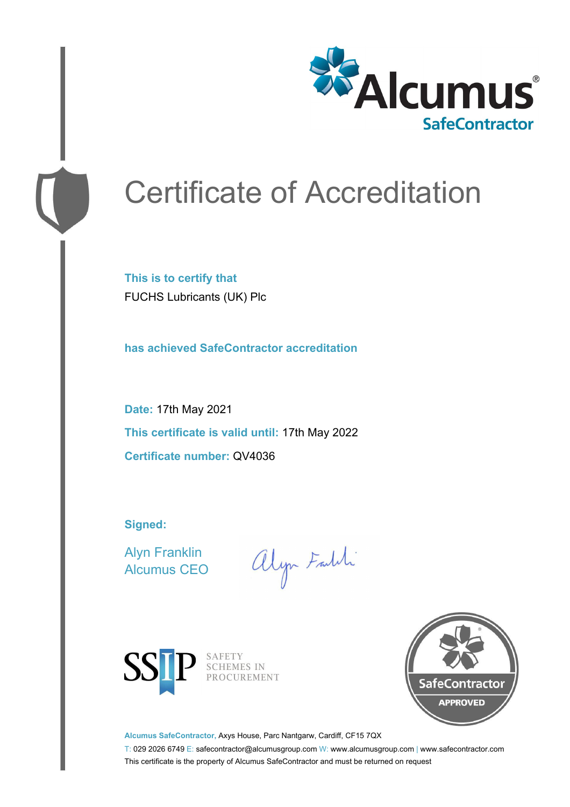

# Certificate of Accreditation

**This is to certify that** FUCHS Lubricants (UK) Plc

**has achieved SafeContractor accreditation**

**Date:** 17th May 2021 **This certificate is valid until:** 17th May 2022 **Certificate number:** QV4036

**Signed:**

Alyn Franklin Alcumus CEO

alyn Faith



SAFETY<br>SCHEMES IN PROCUREMENT



**Alcumus SafeContractor,** Axys House, Parc Nantgarw, Cardiff, CF15 7QX

T: 029 2026 6749 E: safecontractor@alcumusgroup.com W: www.alcumusgroup.com | www.safecontractor.com This certificate is the property of Alcumus SafeContractor and must be returned on request